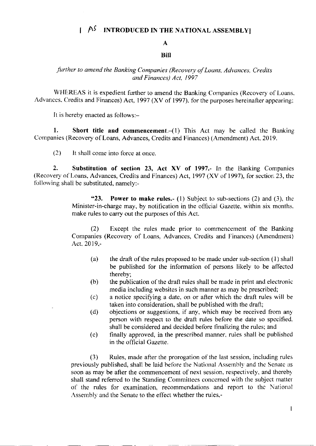# $A^{\zeta}$  INTRODUCED IN THE NATIONAL ASSEMBLY

## A

### **Bill**

## further to amend the Banking Companies (Recovery of Loans, Advances, Credits and Finances) Act, 1997

WHEREAS it is expedient further to amend the Banking Companies (Recovery of Loans. Advances. Credits and Finances) Act. 1997 (XV of 1997), for the purposes hereinafter appearing:

It is hereby enacted as follows:-

1. Short title and commencement. $-(1)$  This Act may be called the Banking Companies (Recovery of Loans, Advances, Credits and Finances) (Amendment) Act, 2019.

 $(2)$  It shall come into force at once.

2. Substitution of section 23, Act XV of 1997.- In the Banking Companies (Recovery of Loans, Advances, Credits and Finances) Act,  $1997$  (XV of 1997), for section 23, the following shall be substituted, namely:-

> "23. Power to make rules.- (1) Subject to sub-sections (2) and (3), the Minister-in-charge may, by notification in the official Gazette, within six months. make rules to carry out the purposes of this Act.

> (2) Except the rules made prior to commencement of the Banking Companies (Recovery of Loans, Advances, Credits and Finances) (Amendment) Act.20l9.-

- (a) the draft of the rules proposed to be made under sub-section  $(1)$  shall be published for the information of persons likely to be affected thereby;
- $(b)$  the publication of the draft rules shall be made in print and electronic media including websites in such manner as may be prescribed;
- (c) a notice specifying a date, on or after rvhich thc draft rules w'ill be taken into consideration, shall be published with the drafi;
- (d) objections or suggestions, if any, which may be received from any pcrson with respect to the draft rules before the date so specified. shall be considered and decided before finalizing the rules; and
- (e) finally approved. in the prescribed manner, rules shall be published in the official Gazette.

(3) Rules, made after the prorogation of the last session, including rules previously published, shall be laid before the National Assembly and the Senate as soon as may be after the commencement of next session. respectively. and thereby shall stand referred to the Standing Committees concemed with the subject matter of the rules for examination, recommendations and report to thc National Assembly and the Senate to the effect whether the rules,-